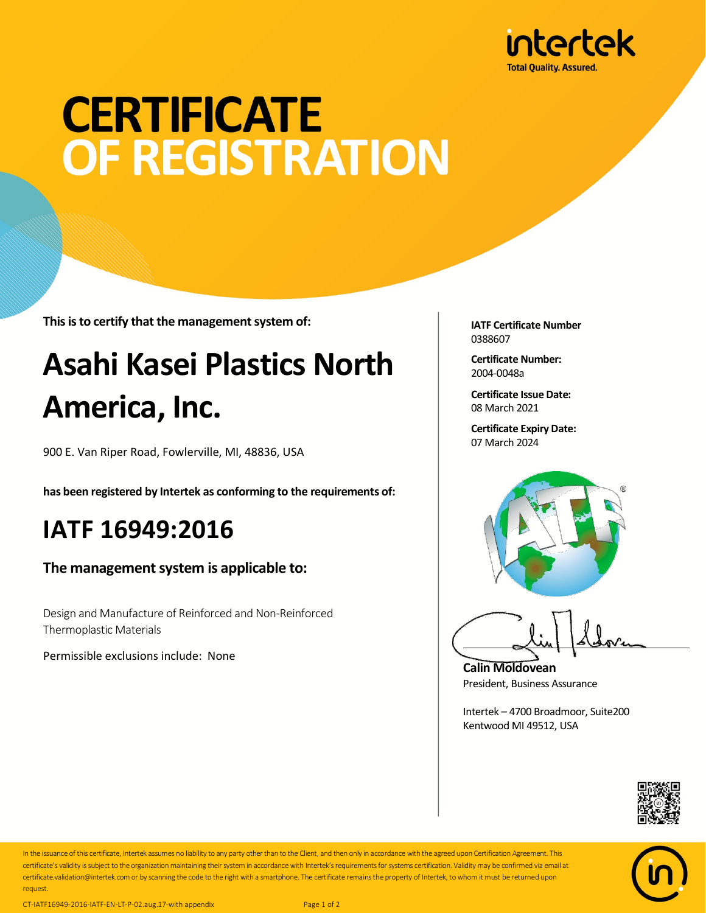

# **CERTIFICATE** OF REGISTRATION

**This is to certify that the management system of:**

## **Asahi Kasei Plastics North America, Inc.**

900 E. Van Riper Road, Fowlerville, MI, 48836, USA

**has been registered by Intertek as conforming to the requirements of:**

#### **IATF 16949:2016**

**The management system is applicable to:**

Design and Manufacture of Reinforced and Non-Reinforced Thermoplastic Materials

Permissible exclusions include: None

**IATF Certificate Number** 0388607

**Certificate Number:** 2004-0048a

**Certificate Issue Date:** 08 March 2021

**Certificate Expiry Date:** 07 March 2024



**Calin Moldovean** President, Business Assurance

Intertek – 4700 Broadmoor, Suite200 Kentwood MI 49512, USA





In the issuance of this certificate, Intertek assumes no liability to any party other than to the Client, and then only in accordance with the agreed upon Certification Agreement. This certificate's validity is subject to the organization maintaining their system in accordance with Intertek's requirements for systems certification. Validity may be confirmed via email at certificate.validation@intertek.com or by scanning the code to the right with a smartphone. The certificate remains the property of Intertek, to whom it must be returned upon request.